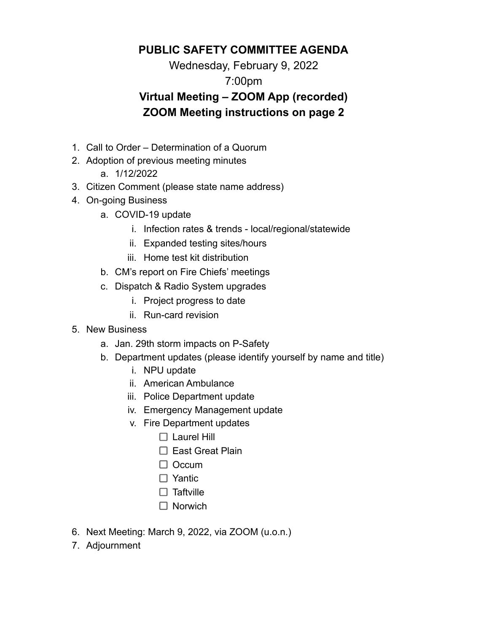### **PUBLIC SAFETY COMMITTEE AGENDA**

Wednesday, February 9, 2022

### 7:00pm

# **Virtual Meeting – ZOOM App (recorded) ZOOM Meeting instructions on page 2**

- 1. Call to Order Determination of a Quorum
- 2. Adoption of previous meeting minutes
	- a. 1/12/2022
- 3. Citizen Comment (please state name address)
- 4. On-going Business
	- a. COVID-19 update
		- i. Infection rates & trends local/regional/statewide
		- ii. Expanded testing sites/hours
		- iii. Home test kit distribution
	- b. CM's report on Fire Chiefs' meetings
	- c. Dispatch & Radio System upgrades
		- i. Project progress to date
		- ii. Run-card revision
- 5. New Business
	- a. Jan. 29th storm impacts on P-Safety
	- b. Department updates (please identify yourself by name and title)
		- i. NPU update
		- ii. American Ambulance
		- iii. Police Department update
		- iv. Emergency Management update
		- v. Fire Department updates
			- $\Box$  Laurel Hill
			- $\Box$  East Great Plain
			- $\Box$  Occum
			- □ Yantic
			- $\Box$  Taftville
			- $\Box$  Norwich
- 6. Next Meeting: March 9, 2022, via ZOOM (u.o.n.)
- 7. Adjournment